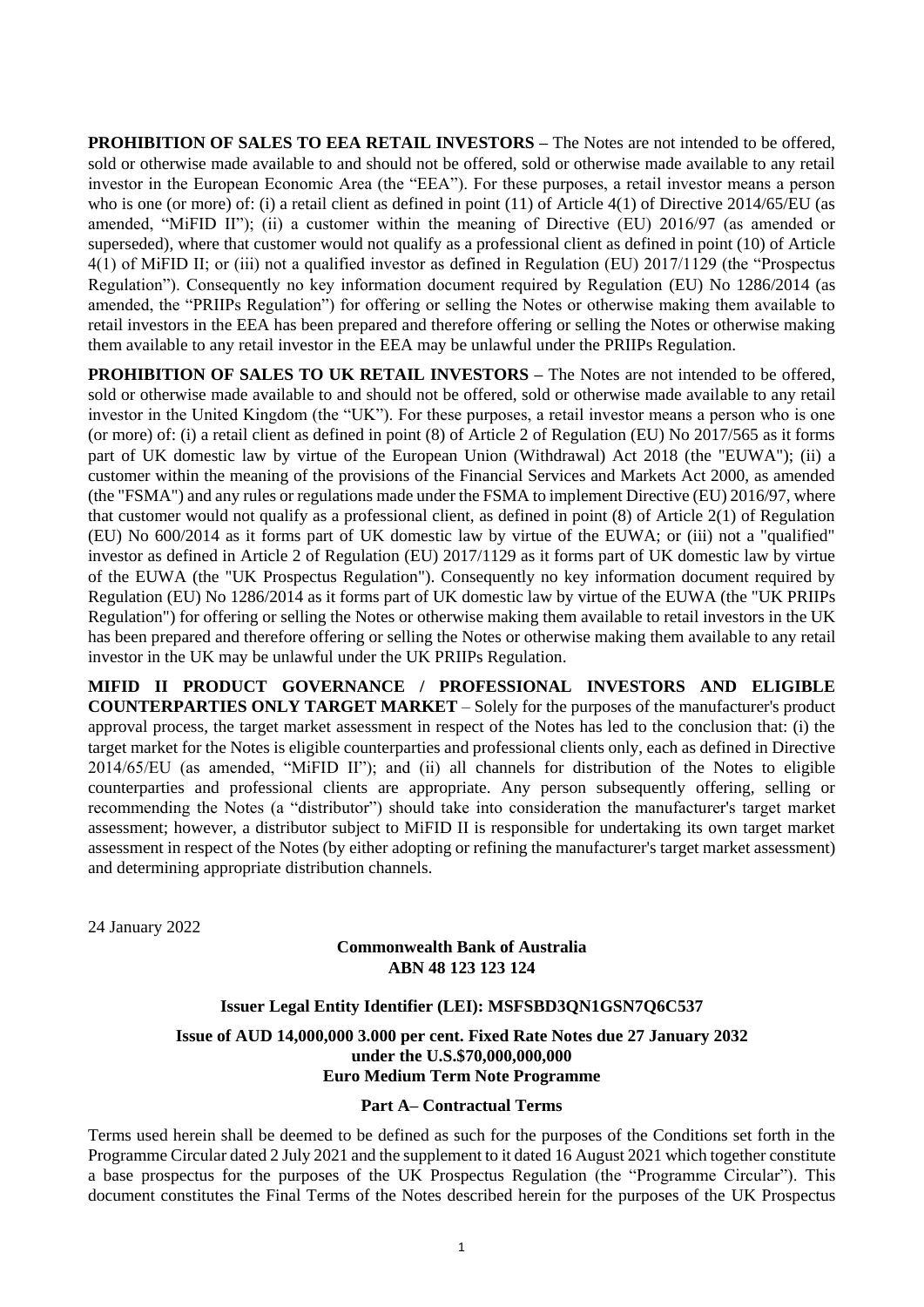**PROHIBITION OF SALES TO EEA RETAIL INVESTORS –** The Notes are not intended to be offered, sold or otherwise made available to and should not be offered, sold or otherwise made available to any retail investor in the European Economic Area (the "EEA"). For these purposes, a retail investor means a person who is one (or more) of: (i) a retail client as defined in point (11) of Article 4(1) of Directive 2014/65/EU (as amended, "MiFID II"); (ii) a customer within the meaning of Directive (EU) 2016/97 (as amended or superseded), where that customer would not qualify as a professional client as defined in point (10) of Article 4(1) of MiFID II; or (iii) not a qualified investor as defined in Regulation (EU) 2017/1129 (the "Prospectus Regulation"). Consequently no key information document required by Regulation (EU) No 1286/2014 (as amended, the "PRIIPs Regulation") for offering or selling the Notes or otherwise making them available to retail investors in the EEA has been prepared and therefore offering or selling the Notes or otherwise making them available to any retail investor in the EEA may be unlawful under the PRIIPs Regulation.

**PROHIBITION OF SALES TO UK RETAIL INVESTORS –** The Notes are not intended to be offered, sold or otherwise made available to and should not be offered, sold or otherwise made available to any retail investor in the United Kingdom (the "UK"). For these purposes, a retail investor means a person who is one (or more) of: (i) a retail client as defined in point (8) of Article 2 of Regulation (EU) No 2017/565 as it forms part of UK domestic law by virtue of the European Union (Withdrawal) Act 2018 (the "EUWA"); (ii) a customer within the meaning of the provisions of the Financial Services and Markets Act 2000, as amended (the "FSMA") and any rules or regulations made under the FSMA to implement Directive (EU) 2016/97, where that customer would not qualify as a professional client, as defined in point (8) of Article 2(1) of Regulation (EU) No 600/2014 as it forms part of UK domestic law by virtue of the EUWA; or (iii) not a "qualified" investor as defined in Article 2 of Regulation (EU) 2017/1129 as it forms part of UK domestic law by virtue of the EUWA (the "UK Prospectus Regulation"). Consequently no key information document required by Regulation (EU) No 1286/2014 as it forms part of UK domestic law by virtue of the EUWA (the "UK PRIIPs Regulation") for offering or selling the Notes or otherwise making them available to retail investors in the UK has been prepared and therefore offering or selling the Notes or otherwise making them available to any retail investor in the UK may be unlawful under the UK PRIIPs Regulation.

**MIFID II PRODUCT GOVERNANCE / PROFESSIONAL INVESTORS AND ELIGIBLE COUNTERPARTIES ONLY TARGET MARKET** – Solely for the purposes of the manufacturer's product approval process, the target market assessment in respect of the Notes has led to the conclusion that: (i) the target market for the Notes is eligible counterparties and professional clients only, each as defined in Directive 2014/65/EU (as amended, "MiFID II"); and (ii) all channels for distribution of the Notes to eligible counterparties and professional clients are appropriate. Any person subsequently offering, selling or recommending the Notes (a "distributor") should take into consideration the manufacturer's target market assessment; however, a distributor subject to MiFID II is responsible for undertaking its own target market assessment in respect of the Notes (by either adopting or refining the manufacturer's target market assessment) and determining appropriate distribution channels.

24 January 2022

# **Commonwealth Bank of Australia ABN 48 123 123 124**

# **Issuer Legal Entity Identifier (LEI): MSFSBD3QN1GSN7Q6C537**

**Issue of AUD 14,000,000 3.000 per cent. Fixed Rate Notes due 27 January 2032 under the U.S.\$70,000,000,000 Euro Medium Term Note Programme**

#### **Part A– Contractual Terms**

Terms used herein shall be deemed to be defined as such for the purposes of the Conditions set forth in the Programme Circular dated 2 July 2021 and the supplement to it dated 16 August 2021 which together constitute a base prospectus for the purposes of the UK Prospectus Regulation (the "Programme Circular"). This document constitutes the Final Terms of the Notes described herein for the purposes of the UK Prospectus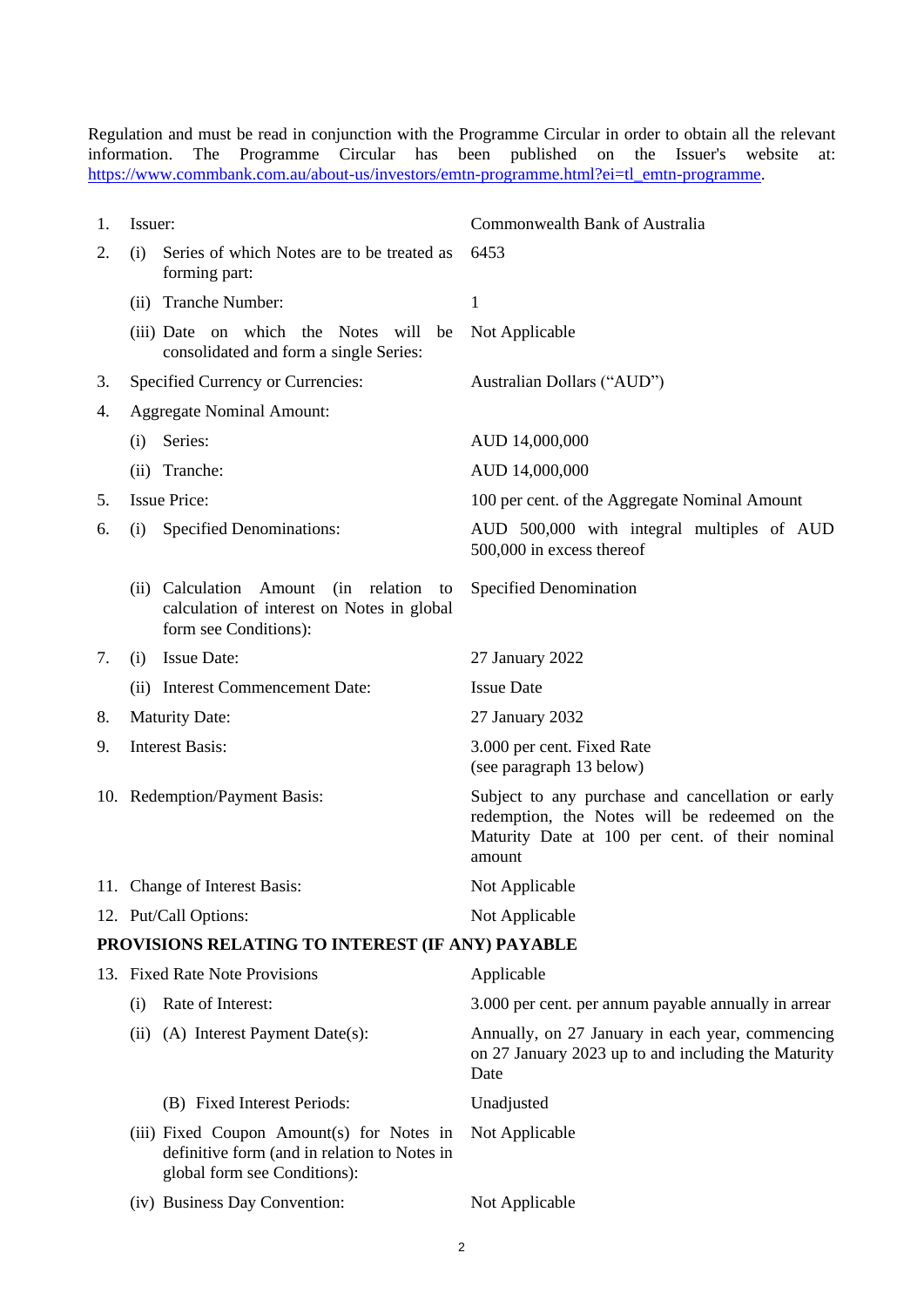Regulation and must be read in conjunction with the Programme Circular in order to obtain all the relevant information. The Programme Circular has been published on the Issuer's website at: [https://www.commbank.com.au/about-us/investors/emtn-programme.html?ei=tl\\_emtn-programme.](https://www.commbank.com.au/about-us/investors/emtn-programme.html?ei=tl_emtn-programme)

<span id="page-1-0"></span>

| 1.                                               | Issuer:                                                            |                                                                                                                            | Commonwealth Bank of Australia                                                                                                                                  |
|--------------------------------------------------|--------------------------------------------------------------------|----------------------------------------------------------------------------------------------------------------------------|-----------------------------------------------------------------------------------------------------------------------------------------------------------------|
| 2.                                               | Series of which Notes are to be treated as<br>(i)<br>forming part: |                                                                                                                            | 6453                                                                                                                                                            |
|                                                  |                                                                    | (ii) Tranche Number:                                                                                                       | $\mathbf{1}$                                                                                                                                                    |
|                                                  |                                                                    | (iii) Date on which the Notes will be<br>consolidated and form a single Series:                                            | Not Applicable                                                                                                                                                  |
| 3.                                               |                                                                    | Specified Currency or Currencies:                                                                                          | Australian Dollars ("AUD")                                                                                                                                      |
| 4.                                               | <b>Aggregate Nominal Amount:</b>                                   |                                                                                                                            |                                                                                                                                                                 |
|                                                  | (i)                                                                | Series:                                                                                                                    | AUD 14,000,000                                                                                                                                                  |
|                                                  |                                                                    | (ii) Tranche:                                                                                                              | AUD 14,000,000                                                                                                                                                  |
| 5.                                               |                                                                    | <b>Issue Price:</b>                                                                                                        | 100 per cent. of the Aggregate Nominal Amount                                                                                                                   |
| 6.                                               | (i)                                                                | <b>Specified Denominations:</b>                                                                                            | AUD 500,000 with integral multiples of AUD<br>500,000 in excess thereof                                                                                         |
|                                                  |                                                                    | (ii) Calculation<br>relation<br>Amount<br>(in<br>to<br>calculation of interest on Notes in global<br>form see Conditions): | Specified Denomination                                                                                                                                          |
| 7.                                               |                                                                    | (i) Issue Date:                                                                                                            | 27 January 2022                                                                                                                                                 |
|                                                  |                                                                    | (ii) Interest Commencement Date:                                                                                           | <b>Issue Date</b>                                                                                                                                               |
| 8.                                               |                                                                    | <b>Maturity Date:</b>                                                                                                      | 27 January 2032                                                                                                                                                 |
| 9.                                               | <b>Interest Basis:</b>                                             |                                                                                                                            | 3.000 per cent. Fixed Rate<br>(see paragraph 13 below)                                                                                                          |
|                                                  | 10. Redemption/Payment Basis:                                      |                                                                                                                            | Subject to any purchase and cancellation or early<br>redemption, the Notes will be redeemed on the<br>Maturity Date at 100 per cent. of their nominal<br>amount |
|                                                  |                                                                    | 11. Change of Interest Basis:                                                                                              | Not Applicable                                                                                                                                                  |
|                                                  |                                                                    | 12. Put/Call Options:                                                                                                      | Not Applicable                                                                                                                                                  |
| PROVISIONS RELATING TO INTEREST (IF ANY) PAYABLE |                                                                    |                                                                                                                            |                                                                                                                                                                 |
|                                                  |                                                                    | 13. Fixed Rate Note Provisions                                                                                             | Applicable                                                                                                                                                      |
|                                                  | (i)                                                                | Rate of Interest:                                                                                                          | 3.000 per cent. per annum payable annually in arrear                                                                                                            |
|                                                  | (ii)                                                               | (A) Interest Payment Date(s):                                                                                              | Annually, on 27 January in each year, commencing<br>on 27 January 2023 up to and including the Maturity<br>Date                                                 |
|                                                  |                                                                    | (B) Fixed Interest Periods:                                                                                                | Unadjusted                                                                                                                                                      |
|                                                  |                                                                    | (iii) Fixed Coupon Amount(s) for Notes in<br>definitive form (and in relation to Notes in<br>global form see Conditions):  | Not Applicable                                                                                                                                                  |
|                                                  |                                                                    | (iv) Business Day Convention:                                                                                              | Not Applicable                                                                                                                                                  |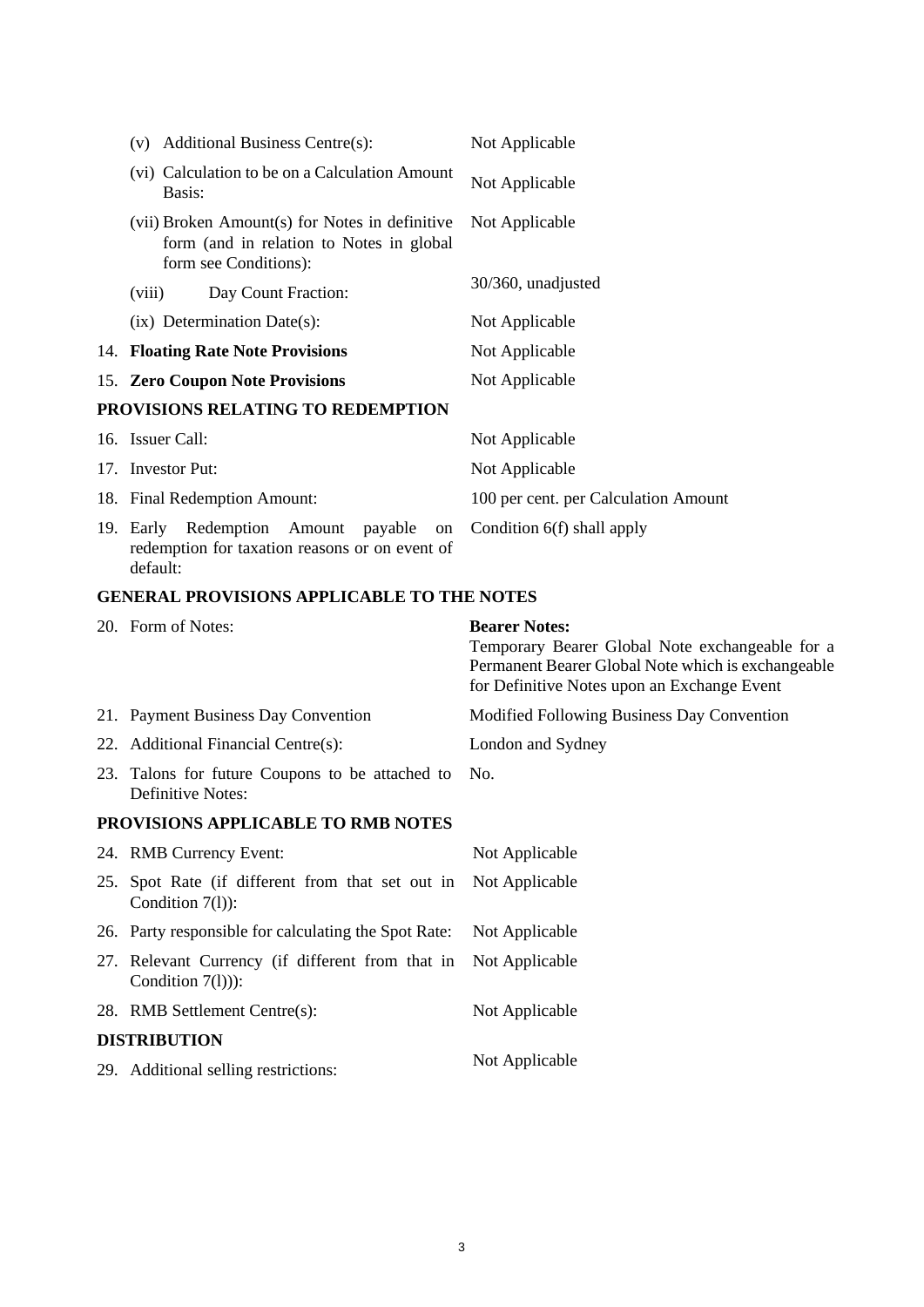| (v) Additional Business Centre(s):                                                                                  | Not Applicable                       |  |
|---------------------------------------------------------------------------------------------------------------------|--------------------------------------|--|
| (vi) Calculation to be on a Calculation Amount<br>Basis:                                                            | Not Applicable                       |  |
| (vii) Broken Amount(s) for Notes in definitive<br>form (and in relation to Notes in global<br>form see Conditions): | Not Applicable                       |  |
| Day Count Fraction:<br>(viii)                                                                                       | 30/360, unadjusted                   |  |
| $(ix)$ Determination Date $(s)$ :                                                                                   | Not Applicable                       |  |
| 14. Floating Rate Note Provisions                                                                                   | Not Applicable                       |  |
| 15. Zero Coupon Note Provisions                                                                                     | Not Applicable                       |  |
| PROVISIONS RELATING TO REDEMPTION                                                                                   |                                      |  |
| 16. Issuer Call:                                                                                                    | Not Applicable                       |  |
| 17. Investor Put:                                                                                                   | Not Applicable                       |  |
| 18. Final Redemption Amount:                                                                                        | 100 per cent. per Calculation Amount |  |
| 19. Early Redemption Amount payable<br><sub>on</sub><br>redemption for taxation reasons or on event of<br>default:  | Condition 6(f) shall apply           |  |

# **GENERAL PROVISIONS APPLICABLE TO THE NOTES**

|                                    | 20. Form of Notes:                                                      | <b>Bearer Notes:</b><br>Temporary Bearer Global Note exchangeable for a<br>Permanent Bearer Global Note which is exchangeable<br>for Definitive Notes upon an Exchange Event |
|------------------------------------|-------------------------------------------------------------------------|------------------------------------------------------------------------------------------------------------------------------------------------------------------------------|
|                                    | 21. Payment Business Day Convention                                     | Modified Following Business Day Convention                                                                                                                                   |
|                                    | 22. Additional Financial Centre(s):                                     | London and Sydney                                                                                                                                                            |
|                                    | 23. Talons for future Coupons to be attached to<br>Definitive Notes:    | No.                                                                                                                                                                          |
| PROVISIONS APPLICABLE TO RMB NOTES |                                                                         |                                                                                                                                                                              |
|                                    | 24. RMB Currency Event:                                                 | Not Applicable                                                                                                                                                               |
|                                    | 25. Spot Rate (if different from that set out in<br>Condition $7(1)$ :  | Not Applicable                                                                                                                                                               |
|                                    | 26. Party responsible for calculating the Spot Rate:                    | Not Applicable                                                                                                                                                               |
|                                    | 27. Relevant Currency (if different from that in<br>Condition $7(1))$ : | Not Applicable                                                                                                                                                               |
|                                    | 28. RMB Settlement Centre(s):                                           | Not Applicable                                                                                                                                                               |
| <b>DISTRIBUTION</b>                |                                                                         |                                                                                                                                                                              |
|                                    | 29. Additional selling restrictions:                                    | Not Applicable                                                                                                                                                               |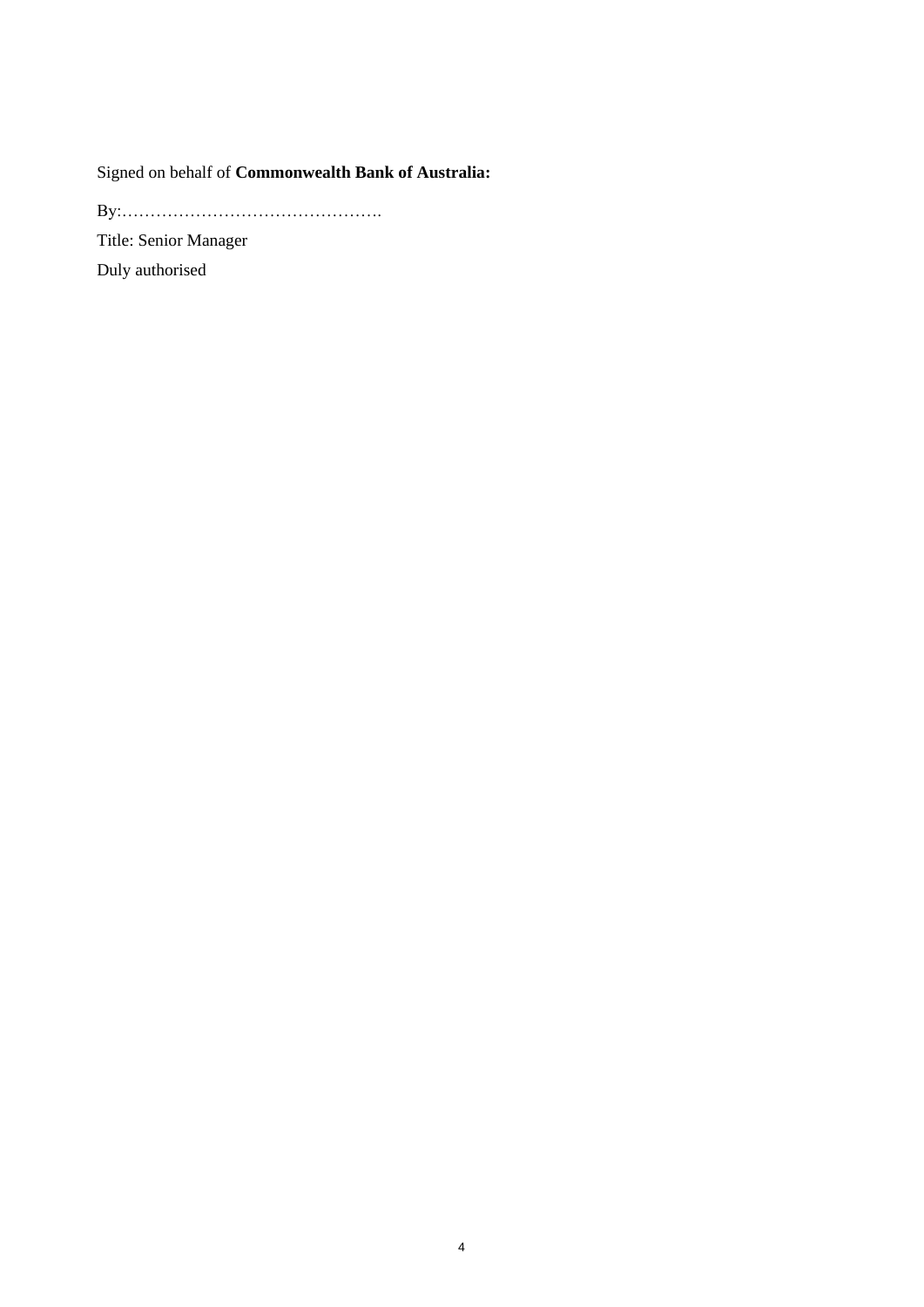Signed on behalf of **Commonwealth Bank of Australia:**

By:………………………………………. Title: Senior Manager Duly authorised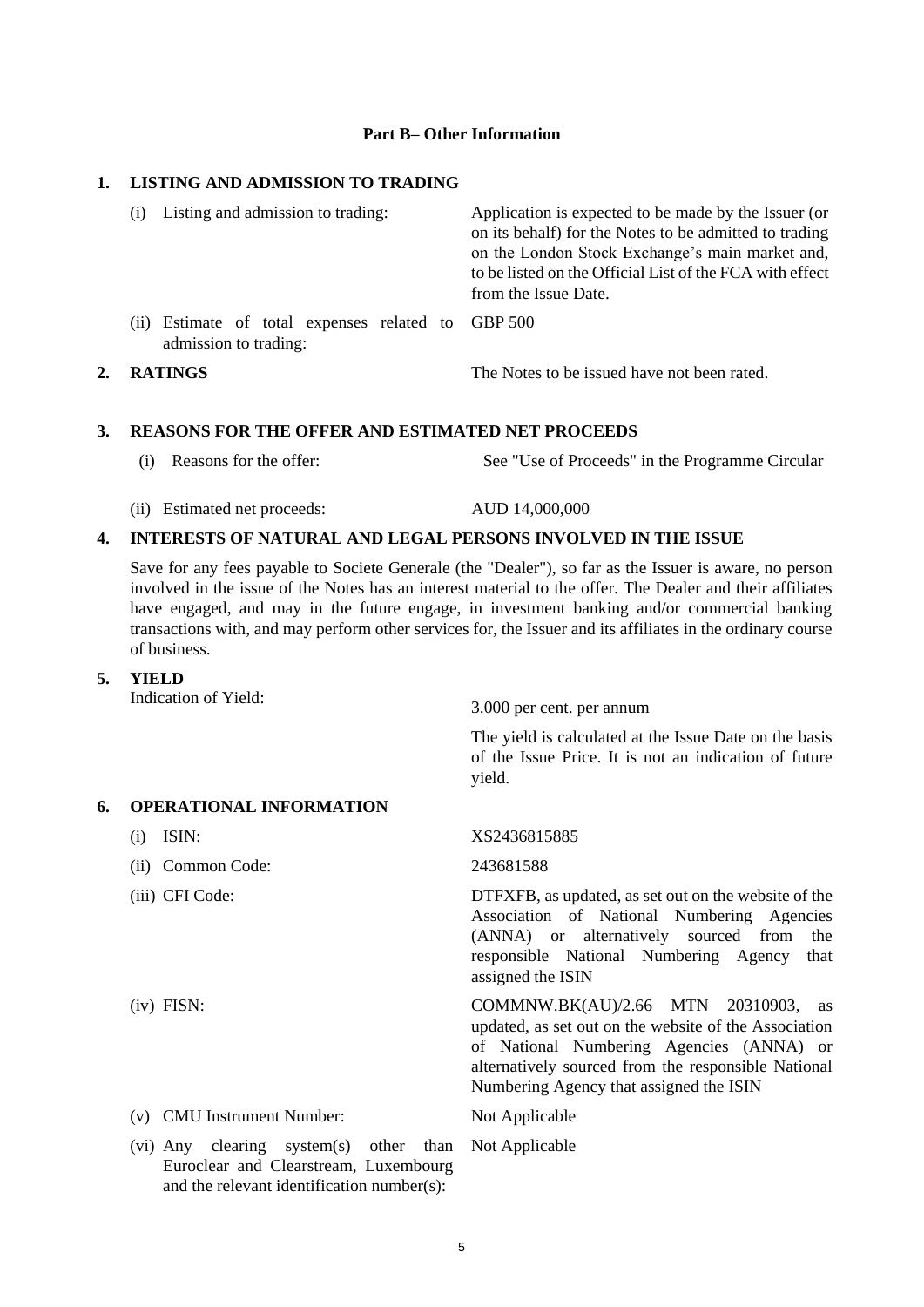### **Part B– Other Information**

# **1. LISTING AND ADMISSION TO TRADING**

| Listing and admission to trading:<br>(1)                                       | Application is expected to be made by the Issuer (or<br>on its behalf) for the Notes to be admitted to trading<br>on the London Stock Exchange's main market and,<br>to be listed on the Official List of the FCA with effect<br>from the Issue Date. |
|--------------------------------------------------------------------------------|-------------------------------------------------------------------------------------------------------------------------------------------------------------------------------------------------------------------------------------------------------|
| Estimate of total expenses related to GBP 500<br>(11)<br>admission to trading: |                                                                                                                                                                                                                                                       |
| 2. RATINGS                                                                     | The Notes to be issued have not been rated.                                                                                                                                                                                                           |

#### **3. REASONS FOR THE OFFER AND ESTIMATED NET PROCEEDS**

(i) Reasons for the offer: See "Use of Proceeds" in the Programme Circular

(ii) Estimated net proceeds: AUD 14,000,000

#### **4. INTERESTS OF NATURAL AND LEGAL PERSONS INVOLVED IN THE ISSUE**

Save for any fees payable to Societe Generale (the "Dealer"), so far as the Issuer is aware, no person involved in the issue of the Notes has an interest material to the offer. The Dealer and their affiliates have engaged, and may in the future engage, in investment banking and/or commercial banking transactions with, and may perform other services for, the Issuer and its affiliates in the ordinary course of business.

# **5. YIELD**

# Indication of Yield: 3.000 per cent. per annum

The yield is calculated at the Issue Date on the basis of the Issue Price. It is not an indication of future yield.

## **6. OPERATIONAL INFORMATION**

| (i) | ISIN:                                                                                                                         | XS2436815885                                                                                                                                                                                                                               |
|-----|-------------------------------------------------------------------------------------------------------------------------------|--------------------------------------------------------------------------------------------------------------------------------------------------------------------------------------------------------------------------------------------|
|     | (ii) Common Code:                                                                                                             | 243681588                                                                                                                                                                                                                                  |
|     | (iii) CFI Code:                                                                                                               | DTFXFB, as updated, as set out on the website of the<br>Association of National Numbering Agencies<br>(ANNA) or alternatively sourced from<br>the<br>responsible National Numbering Agency<br>that<br>assigned the ISIN                    |
|     | $(iv)$ FISN:                                                                                                                  | COMMNW.BK(AU)/2.66 MTN 20310903, as<br>updated, as set out on the website of the Association<br>of National Numbering Agencies (ANNA) or<br>alternatively sourced from the responsible National<br>Numbering Agency that assigned the ISIN |
|     | (v) CMU Instrument Number:                                                                                                    | Not Applicable                                                                                                                                                                                                                             |
|     | (vi) Any clearing system(s) other than<br>Euroclear and Clearstream, Luxembourg<br>and the relevant identification number(s): | Not Applicable                                                                                                                                                                                                                             |